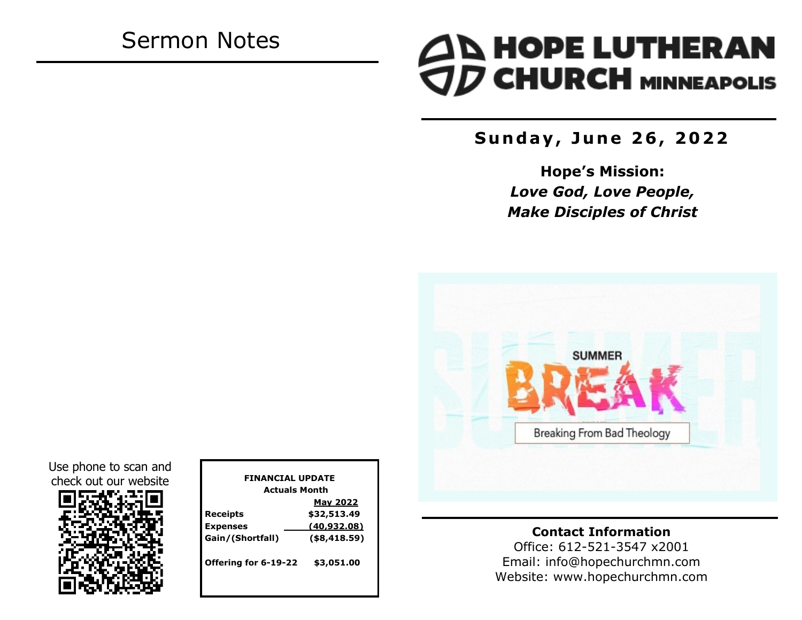# Sermon Notes

# **AN HOPE LUTHERAN<br>TO CHURCH MINNEAPOLIS**

**S u n d a y , J u n e 2 6 , 2 0 2 2**

**Hope's Mission:**  *Love God, Love People, Make Disciples of Christ*



Use phone to scan and check out our website



| <b>FINANCIAL UPDATE</b> |                 |  |
|-------------------------|-----------------|--|
| <b>Actuals Month</b>    |                 |  |
|                         | <b>May 2022</b> |  |
| <b>Receipts</b>         | \$32,513.49     |  |
| <b>Expenses</b>         | (40, 932.08)    |  |
| Gain/(Shortfall)        | $($ \$8,418.59) |  |
| Offering for 6-19-22    | \$3,051.00      |  |

**Contact Information**

Office: 612-521-3547 x2001 Email: info@hopechurchmn.com Website: www.hopechurchmn.com